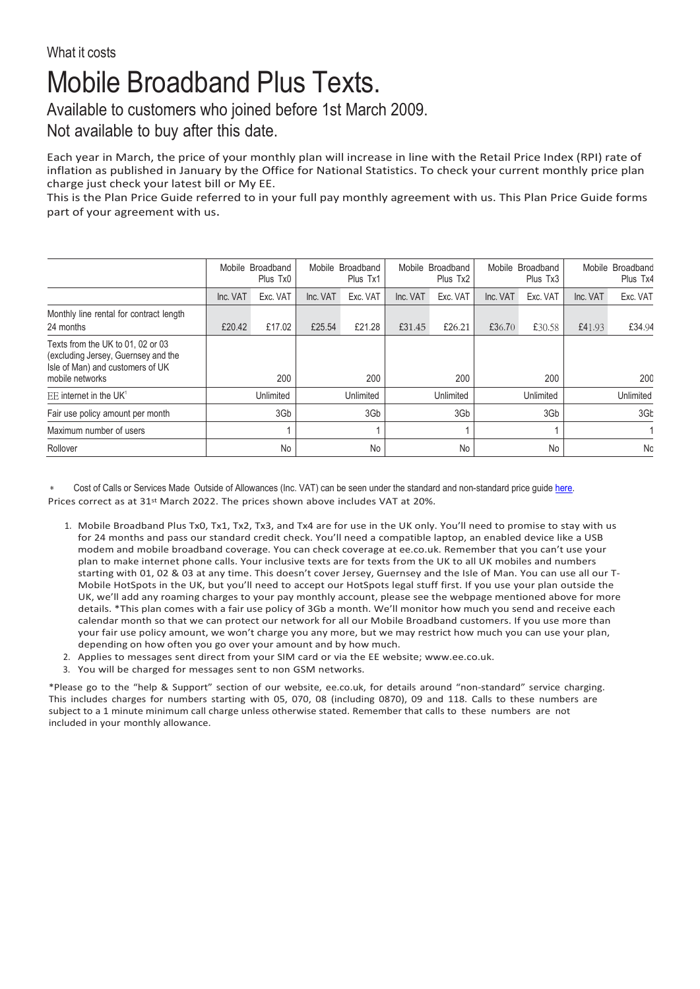## Mobile Broadband Plus Texts.

Available to customers who joined before 1st March 2009.

Not available to buy after this date.

Each year in March, the price of your monthly plan will increase in line with the Retail Price Index (RPI) rate of inflation as published in January by the Office for National Statistics. To check your current monthly price plan charge just check your latest bill or My EE.

This is the Plan Price Guide referred to in your full pay monthly agreement with us. This Plan Price Guide forms part of your agreement with us.

|                                                                                                                                 | Mobile Broadband<br>Plus Tx0 |          | Mobile Broadband<br>Plus Tx1 |          | Mobile Broadband<br>Plus Tx2 |          | Mobile Broadband<br>Plus Tx3 |          | Mobile Broadband<br>Plus Tx4 |          |
|---------------------------------------------------------------------------------------------------------------------------------|------------------------------|----------|------------------------------|----------|------------------------------|----------|------------------------------|----------|------------------------------|----------|
|                                                                                                                                 | Inc. VAT                     | Exc. VAT | Inc. VAT                     | Exc. VAT | Inc. VAT                     | Exc. VAT | Inc. VAT                     | Exc. VAT | Inc. VAT                     | Exc. VAT |
| Monthly line rental for contract length<br>24 months                                                                            | £20.42                       | £17.02   | £25.54                       | £21.28   | £31.45                       | £26.21   | £36.70                       | £30.58   | £41.93                       | £34.94   |
| Texts from the UK to 01, 02 or 03<br>(excluding Jersey, Guernsey and the<br>Isle of Man) and customers of UK<br>mobile networks |                              | 200      |                              | 200      |                              | 200      |                              | 200      |                              | 200      |
| F.E. internet in the UK <sup>1</sup>                                                                                            | Unlimited                    |          | Unlimited                    |          | Unlimited                    |          | Unlimited                    |          | Unlimited                    |          |
| Fair use policy amount per month                                                                                                | 3Gb                          |          | 3Gb                          |          | 3Gb                          |          | 3Gb                          |          | 3Gb                          |          |
| Maximum number of users                                                                                                         |                              |          |                              |          |                              |          |                              |          |                              |          |
| Rollover                                                                                                                        | No                           |          | No                           |          | No                           |          | No                           |          | No                           |          |

Cost of Calls or Services Made Outside of Allowances (Inc. VAT) can be seen under the standard and non-standard price quid[e here.](https://ee.co.uk/help/help-new/price-plans/legacy-brand/pay-monthly-price-plans) Prices correct as at 31st March 2022. The prices shown above includes VAT at 20%.

- 1. Mobile Broadband Plus Tx0, Tx1, Tx2, Tx3, and Tx4 are for use in the UK only. You'll need to promise to stay with us for 24 months and pass our standard credit check. You'll need a compatible laptop, an enabled device like a USB modem and mobile broadband coverage. You can check coverage at ee.co.uk. Remember that you can't use your plan to make internet phone calls. Your inclusive texts are for texts from the UK to all UK mobiles and numbers starting with 01, 02 & 03 at any time. This doesn't cover Jersey, Guernsey and the Isle of Man. You can use all our T-Mobile HotSpots in the UK, but you'll need to accept our HotSpots legal stuff first. If you use your plan outside the UK, we'll add any roaming charges to your pay monthly account, please see the webpage mentioned above for more details. \*This plan comes with a fair use policy of 3Gb a month. We'll monitor how much you send and receive each calendar month so that we can protect our network for all our Mobile Broadband customers. If you use more than your fair use policy amount, we won't charge you any more, but we may restrict how much you can use your plan, depending on how often you go over your amount and by how much.
- 2. Applies to messages sent direct from your SIM card or via the EE website; [www.ee.co.uk.](http://www.ee.co.uk/)
- 3. You will be charged for messages sent to non GSM networks.

\*Please go to the "help & Support" section of our website, ee.co.uk, for details around "non-standard" service charging. This includes charges for numbers starting with 05, 070, 08 (including 0870), 09 and 118. Calls to these numbers are subject to a 1 minute minimum call charge unless otherwise stated. Remember that calls to these numbers are not included in your monthly allowance.